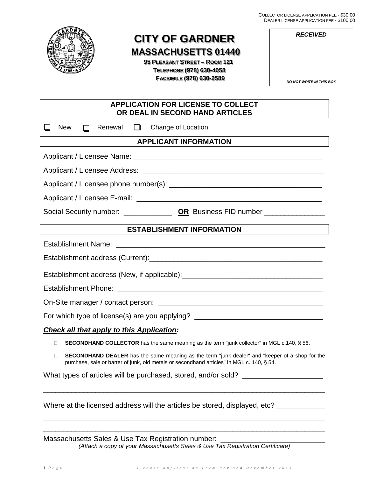COLLECTOR LICENSE APPLICATION FEE - \$30.00 DEALER LICENSE APPLICATION FEE - \$100.00



# **CITY OF GARDNER MASSACHUSETTS 01440**

 **95 PLEASANT STREET – ROOM 121 TELEPHONE (978) 630-4058 FACSIMILE (978) 630-2589**

| プレハレ | <u>IN LIULINUL AI I LIUA HUN I LL - </u><br>v I vv |
|------|----------------------------------------------------|
|      | <b>RECEIVED</b>                                    |
|      |                                                    |
|      |                                                    |
|      | <b>DO NOT WRITE IN THIS BOX</b>                    |
|      |                                                    |

| <b>APPLICATION FOR LICENSE TO COLLECT</b><br>OR DEAL IN SECOND HAND ARTICLES                                                                                                                                                   |  |  |  |  |
|--------------------------------------------------------------------------------------------------------------------------------------------------------------------------------------------------------------------------------|--|--|--|--|
| Change of Location<br>New<br>Renewal<br>$\Box$<br>$\mathbf{I}$                                                                                                                                                                 |  |  |  |  |
| <b>APPLICANT INFORMATION</b>                                                                                                                                                                                                   |  |  |  |  |
|                                                                                                                                                                                                                                |  |  |  |  |
| Applicant / Licensee Address: Latential Contract Contract Contract Contract Contract Contract Contract Contract Contract Contract Contract Contract Contract Contract Contract Contract Contract Contract Contract Contract Co |  |  |  |  |
|                                                                                                                                                                                                                                |  |  |  |  |
|                                                                                                                                                                                                                                |  |  |  |  |
|                                                                                                                                                                                                                                |  |  |  |  |
| <b>ESTABLISHMENT INFORMATION</b>                                                                                                                                                                                               |  |  |  |  |
|                                                                                                                                                                                                                                |  |  |  |  |
|                                                                                                                                                                                                                                |  |  |  |  |
|                                                                                                                                                                                                                                |  |  |  |  |
|                                                                                                                                                                                                                                |  |  |  |  |
|                                                                                                                                                                                                                                |  |  |  |  |
| For which type of license(s) are you applying? _________________________________                                                                                                                                               |  |  |  |  |
| <b>Check all that apply to this Application:</b>                                                                                                                                                                               |  |  |  |  |
| <b>SECONDHAND COLLECTOR</b> has the same meaning as the term "junk collector" in MGL c.140, § 56.<br>П.                                                                                                                        |  |  |  |  |
| SECONDHAND DEALER has the same meaning as the term "junk dealer" and "keeper of a shop for the<br>П<br>purchase, sale or barter of junk, old metals or secondhand articles" in MGL c. 140, § 54.                               |  |  |  |  |
| What types of articles will be purchased, stored, and/or sold?                                                                                                                                                                 |  |  |  |  |

Where at the licensed address will the articles be stored, displayed, etc? \_\_\_\_\_\_\_\_\_\_\_

Massachusetts Sales & Use Tax Registration number: *(Attach a copy of your Massachusetts Sales & Use Tax Registration Certificate)*

\_\_\_\_\_\_\_\_\_\_\_\_\_\_\_\_\_\_\_\_\_\_\_\_\_\_\_\_\_\_\_\_\_\_\_\_\_\_\_\_\_\_\_\_\_\_\_\_\_\_\_\_\_\_\_\_\_\_\_\_\_\_\_\_\_\_\_\_\_\_

\_\_\_\_\_\_\_\_\_\_\_\_\_\_\_\_\_\_\_\_\_\_\_\_\_\_\_\_\_\_\_\_\_\_\_\_\_\_\_\_\_\_\_\_\_\_\_\_\_\_\_\_\_\_\_\_\_\_\_\_\_\_\_\_\_\_\_\_\_\_ \_\_\_\_\_\_\_\_\_\_\_\_\_\_\_\_\_\_\_\_\_\_\_\_\_\_\_\_\_\_\_\_\_\_\_\_\_\_\_\_\_\_\_\_\_\_\_\_\_\_\_\_\_\_\_\_\_\_\_\_\_\_\_\_\_\_\_\_\_\_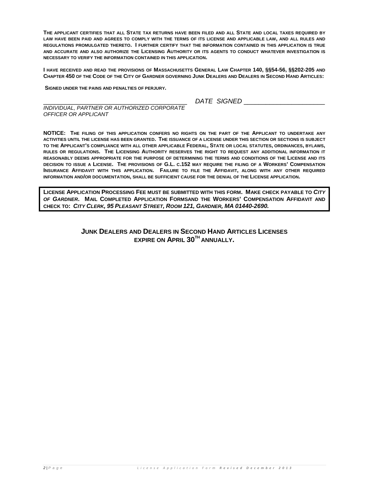**THE APPLICANT CERTIFIES THAT ALL STATE TAX RETURNS HAVE BEEN FILED AND ALL STATE AND LOCAL TAXES REQUIRED BY LAW HAVE BEEN PAID AND AGREES TO COMPLY WITH THE TERMS OF ITS LICENSE AND APPLICABLE LAW, AND ALL RULES AND REGULATIONS PROMULGATED THERETO. I FURTHER CERTIFY THAT THE INFORMATION CONTAINED IN THIS APPLICATION IS TRUE AND ACCURATE AND ALSO AUTHORIZE THE LICENSING AUTHORITY OR ITS AGENTS TO CONDUCT WHATEVER INVESTIGATION IS NECESSARY TO VERIFY THE INFORMATION CONTAINED IN THIS APPLICATION.**

**I HAVE RECEIVED AND READ THE PROVISIONS OF MASSACHUSETTS GENERAL LAW CHAPTER 140, §§54-56, §§202-205 AND CHAPTER 450 OF THE CODE OF THE CITY OF GARDNER GOVERNING JUNK DEALERS AND DEALERS IN SECOND HAND ARTICLES:**

**SIGNED UNDER THE PAINS AND PENALTIES OF PERJURY.**

\_\_\_\_\_\_\_\_\_\_\_\_\_\_\_\_\_\_\_\_\_\_\_\_\_\_\_\_\_\_\_\_\_\_\_\_\_\_\_ *DATE SIGNED* \_\_\_\_\_\_\_\_\_\_\_\_\_\_\_\_\_\_\_\_\_\_

*INDIVIDUAL, PARTNER OR AUTHORIZED CORPORATE OFFICER OR APPLICANT*

**NOTICE: THE FILING OF THIS APPLICATION CONFERS NO RIGHTS ON THE PART OF THE APPLICANT TO UNDERTAKE ANY ACTIVITIES UNTIL THE LICENSE HAS BEEN GRANTED. THE ISSUANCE OF A LICENSE UNDER THIS SECTION OR SECTIONS IS SUBJECT TO THE APPLICANT'S COMPLIANCE WITH ALL OTHER APPLICABLE FEDERAL, STATE OR LOCAL STATUTES, ORDINANCES, BYLAWS, RULES OR REGULATIONS. THE LICENSING AUTHORITY RESERVES THE RIGHT TO REQUEST ANY ADDITIONAL INFORMATION IT REASONABLY DEEMS APPROPRIATE FOR THE PURPOSE OF DETERMINING THE TERMS AND CONDITIONS OF THE LICENSE AND ITS DECISION TO ISSUE A LICENSE. THE PROVISIONS OF G.L. C.152 MAY REQUIRE THE FILING OF A WORKERS' COMPENSATION INSURANCE AFFIDAVIT WITH THIS APPLICATION. FAILURE TO FILE THE AFFIDAVIT, ALONG WITH ANY OTHER REQUIRED INFORMATION AND/OR DOCUMENTATION, SHALL BE SUFFICIENT CAUSE FOR THE DENIAL OF THE LICENSE APPLICATION.**

**LICENSE APPLICATION PROCESSING FEE MUST BE SUBMITTED WITH THIS FORM. MAKE CHECK PAYABLE TO** *CITY OF GARDNER***. MAIL COMPLETED APPLICATION FORMSAND THE WORKERS' COMPENSATION AFFIDAVIT AND CHECK TO:** *CITY CLERK, 95 PLEASANT STREET, ROOM 121, GARDNER, MA 01440-2690.*

# **JUNK DEALERS AND DEALERS IN SECOND HAND ARTICLES LICENSES EXPIRE ON APRIL 30TH ANNUALLY.**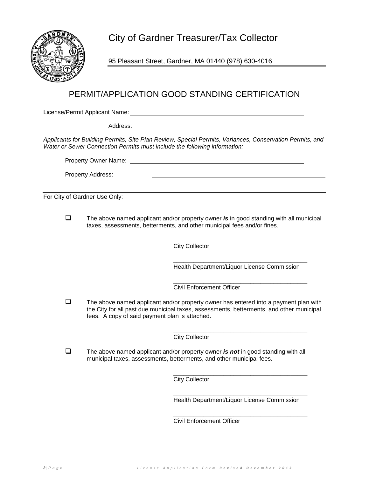City of Gardner Treasurer/Tax Collector



95 Pleasant Street, Gardner, MA 01440 (978) 630-4016

# PERMIT/APPLICATION GOOD STANDING CERTIFICATION

License/Permit Applicant Name:

Address:

*Applicants for Building Permits, Site Plan Review, Special Permits, Variances, Conservation Permits, and Water or Sewer Connection Permits must include the following information:*

Property Owner Name:

Property Address:

For City of Gardner Use Only:

 The above named applicant and/or property owner *is* in good standing with all municipal taxes, assessments, betterments, and other municipal fees and/or fines.

> \_\_\_\_\_\_\_\_\_\_\_\_\_\_\_\_\_\_\_\_\_\_\_\_\_\_\_\_\_\_\_\_\_\_\_\_\_\_\_\_ City Collector

> \_\_\_\_\_\_\_\_\_\_\_\_\_\_\_\_\_\_\_\_\_\_\_\_\_\_\_\_\_\_\_\_\_\_\_\_\_\_\_\_ Health Department/Liquor License Commission

> \_\_\_\_\_\_\_\_\_\_\_\_\_\_\_\_\_\_\_\_\_\_\_\_\_\_\_\_\_\_\_\_\_\_\_\_\_\_\_\_ Civil Enforcement Officer

 $\Box$  The above named applicant and/or property owner has entered into a payment plan with the City for all past due municipal taxes, assessments, betterments, and other municipal fees. A copy of said payment plan is attached.

> \_\_\_\_\_\_\_\_\_\_\_\_\_\_\_\_\_\_\_\_\_\_\_\_\_\_\_\_\_\_\_\_\_\_\_\_\_\_\_\_ City Collector

 The above named applicant and/or property owner *is not* in good standing with all municipal taxes, assessments, betterments, and other municipal fees.

> \_\_\_\_\_\_\_\_\_\_\_\_\_\_\_\_\_\_\_\_\_\_\_\_\_\_\_\_\_\_\_\_\_\_\_\_\_\_\_\_ City Collector

> \_\_\_\_\_\_\_\_\_\_\_\_\_\_\_\_\_\_\_\_\_\_\_\_\_\_\_\_\_\_\_\_\_\_\_\_\_\_\_\_ Health Department/Liquor License Commission

> \_\_\_\_\_\_\_\_\_\_\_\_\_\_\_\_\_\_\_\_\_\_\_\_\_\_\_\_\_\_\_\_\_\_\_\_\_\_\_\_ Civil Enforcement Officer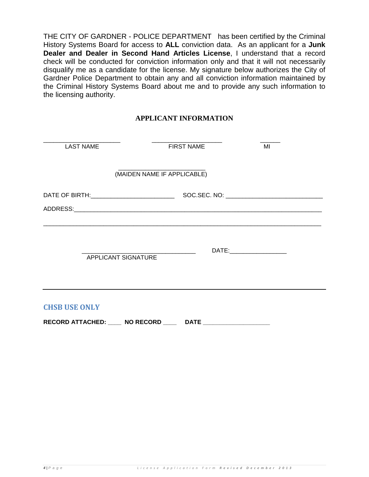THE CITY OF GARDNER - POLICE DEPARTMENT has been certified by the Criminal History Systems Board for access to **ALL** conviction data. As an applicant for a **Junk Dealer and Dealer in Second Hand Articles License**, I understand that a record check will be conducted for conviction information only and that it will not necessarily disqualify me as a candidate for the license. My signature below authorizes the City of Gardner Police Department to obtain any and all conviction information maintained by the Criminal History Systems Board about me and to provide any such information to the licensing authority.

# **APPLICANT INFORMATION**

| <b>LAST NAME</b>     | <b>FIRST NAME</b>           | MI |
|----------------------|-----------------------------|----|
|                      | (MAIDEN NAME IF APPLICABLE) |    |
|                      |                             |    |
| APPLICANT SIGNATURE  |                             |    |
| <b>CHSB USE ONLY</b> |                             |    |

**RECORD ATTACHED: \_\_\_\_ NO RECORD \_\_\_\_ DATE \_\_\_\_\_\_\_\_\_\_\_\_\_\_\_\_\_\_\_\_**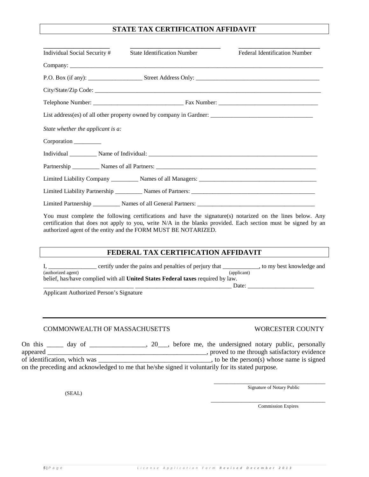# **STATE TAX CERTIFICATION AFFIDAVIT**

| Individual Social Security #      | <b>State Identification Number</b> | <b>Federal Identification Number</b> |  |  |  |
|-----------------------------------|------------------------------------|--------------------------------------|--|--|--|
|                                   |                                    |                                      |  |  |  |
|                                   |                                    |                                      |  |  |  |
|                                   |                                    |                                      |  |  |  |
|                                   |                                    |                                      |  |  |  |
|                                   |                                    |                                      |  |  |  |
| State whether the applicant is a: |                                    |                                      |  |  |  |
| Corporation                       |                                    |                                      |  |  |  |
|                                   |                                    |                                      |  |  |  |
|                                   |                                    |                                      |  |  |  |
|                                   |                                    |                                      |  |  |  |
|                                   |                                    |                                      |  |  |  |
|                                   |                                    |                                      |  |  |  |

You must complete the following certifications and have the signature(s) notarized on the lines below. Any certification that does not apply to you, write N/A in the blanks provided. Each section must be signed by an authorized agent of the entity and the FORM MUST BE NOTARIZED.

# **FEDERAL TAX CERTIFICATION AFFIDAVIT**

I, \_\_\_\_\_\_\_\_\_\_\_\_\_ certify under the pains and penalties of perjury that \_\_\_\_\_\_\_\_, to my best knowledge and (authorized agent) (authorized agent) belief, has/have complied with all **United States Federal taxes** required by law. \_\_\_\_\_\_\_\_\_\_\_\_\_\_\_\_\_\_\_\_\_\_\_\_\_\_\_\_\_\_ \_\_\_\_\_\_\_\_\_\_\_\_\_\_\_\_\_\_\_\_\_\_\_\_\_\_\_\_\_\_\_\_ Date: \_\_\_\_\_\_\_\_\_\_\_\_\_\_\_\_\_\_\_\_\_\_

Applicant Authorized Person's Signature

# COMMONWEALTH OF MASSACHUSETTS WORCESTER COUNTY

On this \_\_\_\_\_ day of \_\_\_\_\_\_\_\_\_\_\_\_, 20\_\_, before me, the undersigned notary public, personally appeared \_\_\_\_\_\_\_\_\_\_\_\_\_\_\_\_\_\_\_\_\_\_\_\_\_\_\_\_\_\_\_\_\_\_\_\_\_\_\_\_\_\_\_\_\_\_\_\_, proved to me through satisfactory evidence  $\_\_\_\_\_\$ , to be the person(s) whose name is signed on the preceding and acknowledged to me that he/she signed it voluntarily for its stated purpose.

(SEAL)

Signature of Notary Public

\_\_\_\_\_\_\_\_\_\_\_\_\_\_\_\_\_\_\_\_\_\_\_\_\_\_\_\_\_\_\_\_\_\_\_\_\_\_ Commission Expires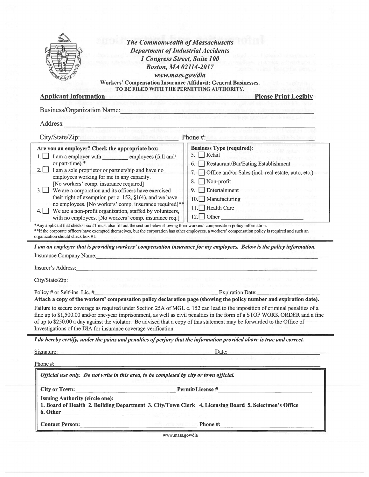|                                                                                                                                                                                                                                                                                                                                                                                                                                                                                                                                                                                                                                                                                                                                                                                                                                                                                                                                                                                                                                                                                                                                                                                                                                                                                                                                                                                                                                                                                                                                                                                                                                                                                                                                                                                             | <b>Department of Industrial Accidents</b><br>1 Congress Street, Suite 100                                                                  |  |  |  |
|---------------------------------------------------------------------------------------------------------------------------------------------------------------------------------------------------------------------------------------------------------------------------------------------------------------------------------------------------------------------------------------------------------------------------------------------------------------------------------------------------------------------------------------------------------------------------------------------------------------------------------------------------------------------------------------------------------------------------------------------------------------------------------------------------------------------------------------------------------------------------------------------------------------------------------------------------------------------------------------------------------------------------------------------------------------------------------------------------------------------------------------------------------------------------------------------------------------------------------------------------------------------------------------------------------------------------------------------------------------------------------------------------------------------------------------------------------------------------------------------------------------------------------------------------------------------------------------------------------------------------------------------------------------------------------------------------------------------------------------------------------------------------------------------|--------------------------------------------------------------------------------------------------------------------------------------------|--|--|--|
|                                                                                                                                                                                                                                                                                                                                                                                                                                                                                                                                                                                                                                                                                                                                                                                                                                                                                                                                                                                                                                                                                                                                                                                                                                                                                                                                                                                                                                                                                                                                                                                                                                                                                                                                                                                             | <b>Boston, MA 02114-2017</b>                                                                                                               |  |  |  |
| www.mass.gov/dia                                                                                                                                                                                                                                                                                                                                                                                                                                                                                                                                                                                                                                                                                                                                                                                                                                                                                                                                                                                                                                                                                                                                                                                                                                                                                                                                                                                                                                                                                                                                                                                                                                                                                                                                                                            |                                                                                                                                            |  |  |  |
|                                                                                                                                                                                                                                                                                                                                                                                                                                                                                                                                                                                                                                                                                                                                                                                                                                                                                                                                                                                                                                                                                                                                                                                                                                                                                                                                                                                                                                                                                                                                                                                                                                                                                                                                                                                             | Workers' Compensation Insurance Affidavit: General Businesses.                                                                             |  |  |  |
| <b>Applicant Information</b>                                                                                                                                                                                                                                                                                                                                                                                                                                                                                                                                                                                                                                                                                                                                                                                                                                                                                                                                                                                                                                                                                                                                                                                                                                                                                                                                                                                                                                                                                                                                                                                                                                                                                                                                                                | TO BE FILED WITH THE PERMITTING AUTHORITY.<br><b>Please Print Legibly</b><br>At the anticol state horizontal displacement in state funding |  |  |  |
|                                                                                                                                                                                                                                                                                                                                                                                                                                                                                                                                                                                                                                                                                                                                                                                                                                                                                                                                                                                                                                                                                                                                                                                                                                                                                                                                                                                                                                                                                                                                                                                                                                                                                                                                                                                             |                                                                                                                                            |  |  |  |
| <b>Business/Organization Name:</b> Name:                                                                                                                                                                                                                                                                                                                                                                                                                                                                                                                                                                                                                                                                                                                                                                                                                                                                                                                                                                                                                                                                                                                                                                                                                                                                                                                                                                                                                                                                                                                                                                                                                                                                                                                                                    |                                                                                                                                            |  |  |  |
| Address:                                                                                                                                                                                                                                                                                                                                                                                                                                                                                                                                                                                                                                                                                                                                                                                                                                                                                                                                                                                                                                                                                                                                                                                                                                                                                                                                                                                                                                                                                                                                                                                                                                                                                                                                                                                    |                                                                                                                                            |  |  |  |
| City/State/Zip: New York and March 1982 and Phone #: 1983 and 2009 and 2009 and 2009                                                                                                                                                                                                                                                                                                                                                                                                                                                                                                                                                                                                                                                                                                                                                                                                                                                                                                                                                                                                                                                                                                                                                                                                                                                                                                                                                                                                                                                                                                                                                                                                                                                                                                        |                                                                                                                                            |  |  |  |
| Are you an employer? Check the appropriate box:                                                                                                                                                                                                                                                                                                                                                                                                                                                                                                                                                                                                                                                                                                                                                                                                                                                                                                                                                                                                                                                                                                                                                                                                                                                                                                                                                                                                                                                                                                                                                                                                                                                                                                                                             | <b>Business Type (required):</b>                                                                                                           |  |  |  |
| I am a employer with employees (full and/                                                                                                                                                                                                                                                                                                                                                                                                                                                                                                                                                                                                                                                                                                                                                                                                                                                                                                                                                                                                                                                                                                                                                                                                                                                                                                                                                                                                                                                                                                                                                                                                                                                                                                                                                   | 5. Retail                                                                                                                                  |  |  |  |
| or part-time).*                                                                                                                                                                                                                                                                                                                                                                                                                                                                                                                                                                                                                                                                                                                                                                                                                                                                                                                                                                                                                                                                                                                                                                                                                                                                                                                                                                                                                                                                                                                                                                                                                                                                                                                                                                             | Restaurant/Bar/Eating Establishment<br>6.                                                                                                  |  |  |  |
| I am a sole proprietor or partnership and have no<br>$2.1 \perp$                                                                                                                                                                                                                                                                                                                                                                                                                                                                                                                                                                                                                                                                                                                                                                                                                                                                                                                                                                                                                                                                                                                                                                                                                                                                                                                                                                                                                                                                                                                                                                                                                                                                                                                            | Office and/or Sales (incl. real estate, auto, etc.)<br>7.                                                                                  |  |  |  |
| employees working for me in any capacity.<br>[No workers' comp. insurance required]                                                                                                                                                                                                                                                                                                                                                                                                                                                                                                                                                                                                                                                                                                                                                                                                                                                                                                                                                                                                                                                                                                                                                                                                                                                                                                                                                                                                                                                                                                                                                                                                                                                                                                         | Non-profit<br>8.                                                                                                                           |  |  |  |
| We are a corporation and its officers have exercised<br>$3.1 \perp$                                                                                                                                                                                                                                                                                                                                                                                                                                                                                                                                                                                                                                                                                                                                                                                                                                                                                                                                                                                                                                                                                                                                                                                                                                                                                                                                                                                                                                                                                                                                                                                                                                                                                                                         | Entertainment<br>9.                                                                                                                        |  |  |  |
| their right of exemption per c. 152, $\S1(4)$ , and we have                                                                                                                                                                                                                                                                                                                                                                                                                                                                                                                                                                                                                                                                                                                                                                                                                                                                                                                                                                                                                                                                                                                                                                                                                                                                                                                                                                                                                                                                                                                                                                                                                                                                                                                                 | 10. Manufacturing                                                                                                                          |  |  |  |
| no employees. [No workers' comp. insurance required]**                                                                                                                                                                                                                                                                                                                                                                                                                                                                                                                                                                                                                                                                                                                                                                                                                                                                                                                                                                                                                                                                                                                                                                                                                                                                                                                                                                                                                                                                                                                                                                                                                                                                                                                                      | 11. Health Care                                                                                                                            |  |  |  |
| We are a non-profit organization, staffed by volunteers,<br>with no employees. [No workers' comp. insurance req.]                                                                                                                                                                                                                                                                                                                                                                                                                                                                                                                                                                                                                                                                                                                                                                                                                                                                                                                                                                                                                                                                                                                                                                                                                                                                                                                                                                                                                                                                                                                                                                                                                                                                           |                                                                                                                                            |  |  |  |
|                                                                                                                                                                                                                                                                                                                                                                                                                                                                                                                                                                                                                                                                                                                                                                                                                                                                                                                                                                                                                                                                                                                                                                                                                                                                                                                                                                                                                                                                                                                                                                                                                                                                                                                                                                                             |                                                                                                                                            |  |  |  |
|                                                                                                                                                                                                                                                                                                                                                                                                                                                                                                                                                                                                                                                                                                                                                                                                                                                                                                                                                                                                                                                                                                                                                                                                                                                                                                                                                                                                                                                                                                                                                                                                                                                                                                                                                                                             | 12. Other                                                                                                                                  |  |  |  |
|                                                                                                                                                                                                                                                                                                                                                                                                                                                                                                                                                                                                                                                                                                                                                                                                                                                                                                                                                                                                                                                                                                                                                                                                                                                                                                                                                                                                                                                                                                                                                                                                                                                                                                                                                                                             |                                                                                                                                            |  |  |  |
|                                                                                                                                                                                                                                                                                                                                                                                                                                                                                                                                                                                                                                                                                                                                                                                                                                                                                                                                                                                                                                                                                                                                                                                                                                                                                                                                                                                                                                                                                                                                                                                                                                                                                                                                                                                             |                                                                                                                                            |  |  |  |
|                                                                                                                                                                                                                                                                                                                                                                                                                                                                                                                                                                                                                                                                                                                                                                                                                                                                                                                                                                                                                                                                                                                                                                                                                                                                                                                                                                                                                                                                                                                                                                                                                                                                                                                                                                                             |                                                                                                                                            |  |  |  |
|                                                                                                                                                                                                                                                                                                                                                                                                                                                                                                                                                                                                                                                                                                                                                                                                                                                                                                                                                                                                                                                                                                                                                                                                                                                                                                                                                                                                                                                                                                                                                                                                                                                                                                                                                                                             |                                                                                                                                            |  |  |  |
|                                                                                                                                                                                                                                                                                                                                                                                                                                                                                                                                                                                                                                                                                                                                                                                                                                                                                                                                                                                                                                                                                                                                                                                                                                                                                                                                                                                                                                                                                                                                                                                                                                                                                                                                                                                             |                                                                                                                                            |  |  |  |
|                                                                                                                                                                                                                                                                                                                                                                                                                                                                                                                                                                                                                                                                                                                                                                                                                                                                                                                                                                                                                                                                                                                                                                                                                                                                                                                                                                                                                                                                                                                                                                                                                                                                                                                                                                                             |                                                                                                                                            |  |  |  |
| $m_{\rm Pl}$ is because and be a set of $m_{\rm Pl}$ , and $m_{\rm Pl}$ , while                                                                                                                                                                                                                                                                                                                                                                                                                                                                                                                                                                                                                                                                                                                                                                                                                                                                                                                                                                                                                                                                                                                                                                                                                                                                                                                                                                                                                                                                                                                                                                                                                                                                                                             |                                                                                                                                            |  |  |  |
|                                                                                                                                                                                                                                                                                                                                                                                                                                                                                                                                                                                                                                                                                                                                                                                                                                                                                                                                                                                                                                                                                                                                                                                                                                                                                                                                                                                                                                                                                                                                                                                                                                                                                                                                                                                             | Expiration Date:                                                                                                                           |  |  |  |
|                                                                                                                                                                                                                                                                                                                                                                                                                                                                                                                                                                                                                                                                                                                                                                                                                                                                                                                                                                                                                                                                                                                                                                                                                                                                                                                                                                                                                                                                                                                                                                                                                                                                                                                                                                                             |                                                                                                                                            |  |  |  |
|                                                                                                                                                                                                                                                                                                                                                                                                                                                                                                                                                                                                                                                                                                                                                                                                                                                                                                                                                                                                                                                                                                                                                                                                                                                                                                                                                                                                                                                                                                                                                                                                                                                                                                                                                                                             |                                                                                                                                            |  |  |  |
|                                                                                                                                                                                                                                                                                                                                                                                                                                                                                                                                                                                                                                                                                                                                                                                                                                                                                                                                                                                                                                                                                                                                                                                                                                                                                                                                                                                                                                                                                                                                                                                                                                                                                                                                                                                             |                                                                                                                                            |  |  |  |
|                                                                                                                                                                                                                                                                                                                                                                                                                                                                                                                                                                                                                                                                                                                                                                                                                                                                                                                                                                                                                                                                                                                                                                                                                                                                                                                                                                                                                                                                                                                                                                                                                                                                                                                                                                                             |                                                                                                                                            |  |  |  |
|                                                                                                                                                                                                                                                                                                                                                                                                                                                                                                                                                                                                                                                                                                                                                                                                                                                                                                                                                                                                                                                                                                                                                                                                                                                                                                                                                                                                                                                                                                                                                                                                                                                                                                                                                                                             | fine up to \$1,500.00 and/or one-year imprisonment, as well as civil penalties in the form of a STOP WORK ORDER and a fine                 |  |  |  |
|                                                                                                                                                                                                                                                                                                                                                                                                                                                                                                                                                                                                                                                                                                                                                                                                                                                                                                                                                                                                                                                                                                                                                                                                                                                                                                                                                                                                                                                                                                                                                                                                                                                                                                                                                                                             | Date:                                                                                                                                      |  |  |  |
|                                                                                                                                                                                                                                                                                                                                                                                                                                                                                                                                                                                                                                                                                                                                                                                                                                                                                                                                                                                                                                                                                                                                                                                                                                                                                                                                                                                                                                                                                                                                                                                                                                                                                                                                                                                             |                                                                                                                                            |  |  |  |
| Official use only. Do not write in this area, to be completed by city or town official.                                                                                                                                                                                                                                                                                                                                                                                                                                                                                                                                                                                                                                                                                                                                                                                                                                                                                                                                                                                                                                                                                                                                                                                                                                                                                                                                                                                                                                                                                                                                                                                                                                                                                                     |                                                                                                                                            |  |  |  |
|                                                                                                                                                                                                                                                                                                                                                                                                                                                                                                                                                                                                                                                                                                                                                                                                                                                                                                                                                                                                                                                                                                                                                                                                                                                                                                                                                                                                                                                                                                                                                                                                                                                                                                                                                                                             |                                                                                                                                            |  |  |  |
| <b>Issuing Authority (circle one):</b>                                                                                                                                                                                                                                                                                                                                                                                                                                                                                                                                                                                                                                                                                                                                                                                                                                                                                                                                                                                                                                                                                                                                                                                                                                                                                                                                                                                                                                                                                                                                                                                                                                                                                                                                                      |                                                                                                                                            |  |  |  |
| *Any applicant that checks box #1 must also fill out the section below showing their workers' compensation policy information.<br>**If the corporate officers have exempted themselves, but the corporation has other employees, a workers' compensation policy is required and such an<br>organization should check box #1.<br>I am an employer that is providing workers' compensation insurance for my employees. Below is the policy information.<br>Insurance Company Name: Name: 1986 and 2008. The Company Name: 1986. The Company Name: 1987. The Company Name: 1987. The Company Name: 1987. The Company Name: 1988. The Company Name: 1988. The Company Name: 1988. The Compa<br>Insurer's Address: National Communication of the Communication of the Communication of the Communication of the Communication of the Communication of the Communication of the Communication of the Communication of the Commu<br>City/State/Zip:<br>Policy # or Self-ins. Lic. $#$<br>Attach a copy of the workers' compensation policy declaration page (showing the policy number and expiration date).<br>Failure to secure coverage as required under Section 25A of MGL c. 152 can lead to the imposition of criminal penalties of a<br>of up to \$250.00 a day against the violator. Be advised that a copy of this statement may be forwarded to the Office of<br>Investigations of the DIA for insurance coverage verification.<br>I do hereby certify, under the pains and penalties of perjury that the information provided above is true and correct.<br>Signature: 100 million and 100 million and 100 million and 100 million and 100 million<br>Phone $#$ :<br>1. Board of Health 2. Building Department 3. City/Town Clerk 4. Licensing Board 5. Selectmen's Office<br>6. Other |                                                                                                                                            |  |  |  |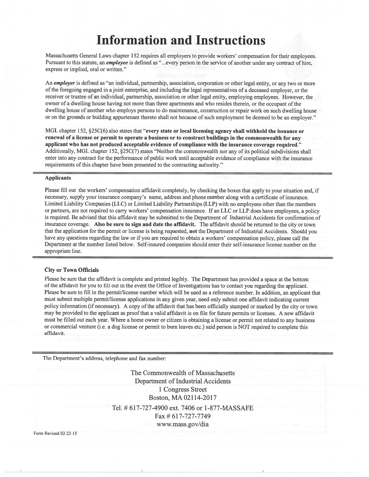# **Information and Instructions**

Massachusetts General Laws chapter 152 requires all employers to provide workers' compensation for their employees. Pursuant to this statute, an *employee* is defined as "...every person in the service of another under any contract of hire, express or implied, oral or written."

An employer is defined as "an individual, partnership, association, corporation or other legal entity, or any two or more of the foregoing engaged in a joint enterprise, and including the legal representatives of a deceased employer, or the receiver or trustee of an individual, partnership, association or other legal entity, employing employees. However, the owner of a dwelling house having not more than three apartments and who resides therein, or the occupant of the dwelling house of another who employs persons to do maintenance, construction or repair work on such dwelling house or on the grounds or building appurtenant thereto shall not because of such employment be deemed to be an employer."

MGL chapter 152, §25C(6) also states that "every state or local licensing agency shall withhold the issuance or renewal of a license or permit to operate a business or to construct buildings in the commonwealth for any applicant who has not produced acceptable evidence of compliance with the insurance coverage required." Additionally, MGL chapter 152, §25C(7) states "Neither the commonwealth nor any of its political subdivisions shall enter into any contract for the performance of public work until acceptable evidence of compliance with the insurance requirements of this chapter have been presented to the contracting authority."

#### **Applicants**

Please fill out the workers' compensation affidavit completely, by checking the boxes that apply to your situation and, if necessary, supply your insurance company's name, address and phone number along with a certificate of insurance. Limited Liability Companies (LLC) or Limited Liability Partnerships (LLP) with no employees other than the members or partners, are not required to carry workers' compensation insurance. If an LLC or LLP does have employees, a policy is required. Be advised that this affidavit may be submitted to the Department of Industrial Accidents for confirmation of insurance coverage. Also be sure to sign and date the affidavit. The affidavit should be returned to the city or town that the application for the permit or license is being requested, not the Department of Industrial Accidents. Should you have any questions regarding the law or if you are required to obtain a workers' compensation policy, please call the Department at the number listed below. Self-insured companies should enter their self-insurance license number on the appropriate line.

#### **City or Town Officials**

Please be sure that the affidavit is complete and printed legibly. The Department has provided a space at the bottom of the affidavit for you to fill out in the event the Office of Investigations has to contact you regarding the applicant. Please be sure to fill in the permit/license number which will be used as a reference number. In addition, an applicant that must submit multiple permit/license applications in any given year, need only submit one affidavit indicating current policy information (if necessary). A copy of the affidavit that has been officially stamped or marked by the city or town may be provided to the applicant as proof that a valid affidavit is on file for future permits or licenses. A new affidavit must be filled out each year. Where a home owner or citizen is obtaining a license or permit not related to any business or commercial venture (i.e. a dog license or permit to burn leaves etc.) said person is NOT required to complete this affidavit.

The Department's address, telephone and fax number:

The Commonwealth of Massachusetts **Department of Industrial Accidents** 1 Congress Street Boston, MA 02114-2017 Tel. # 617-727-4900 ext. 7406 or 1-877-MASSAFE Fax # 617-727-7749 www.mass.gov/dia

Form Revised 02-23-15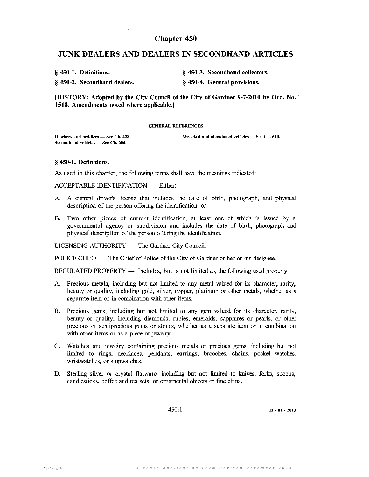# **Chapter 450**

# **JUNK DEALERS AND DEALERS IN SECONDHAND ARTICLES**

| § 450-1. Definitions.        | § 450-3. Secondhand collectors. |
|------------------------------|---------------------------------|
| § 450-2. Secondhand dealers. | § 450-4. General provisions.    |

[HISTORY: Adopted by the City Council of the City of Gardner 9-7-2010 by Ord. No. 1518. Amendments noted where applicable.]

#### **GENERAL REFERENCES**

| Hawkers and peddlers — See Ch. 428. | Wrecked and abandoned vehicles — See Ch. 610. |
|-------------------------------------|-----------------------------------------------|
| Secondhand vehicles - See Ch. 606.  |                                               |

### § 450-1. Definitions.

As used in this chapter, the following terms shall have the meanings indicated:

**ACCEPTABLE IDENTIFICATION - Either:** 

- A. A current driver's license that includes the date of birth, photograph, and physical description of the person offering the identification; or
- B. Two other pieces of current identification, at least one of which is issued by a governmental agency or subdivision and includes the date of birth, photograph and physical description of the person offering the identification.

LICENSING AUTHORITY - The Gardner City Council.

POLICE CHIEF — The Chief of Police of the City of Gardner or her or his designee.

REGULATED PROPERTY — Includes, but is not limited to, the following used property:

- A. Precious metals, including but not limited to any metal valued for its character, rarity, beauty or quality, including gold, silver, copper, platinum or other metals, whether as a separate item or in combination with other items.
- B. Precious gems, including but not limited to any gem valued for its character, rarity, beauty or quality, including diamonds, rubies, emeralds, sapphires or pearls, or other precious or semiprecious gems or stones, whether as a separate item or in combination with other items or as a piece of jewelry.
- C. Watches and jewelry containing precious metals or precious gems, including but not limited to rings, necklaces, pendants, earrings, brooches, chains, pocket watches, wristwatches, or stopwatches.
- D. Sterling silver or crystal flatware, including but not limited to knives, forks, spoons, candlesticks, coffee and tea sets, or ornamental objects or fine china.

450.1

 $12 - 01 - 2013$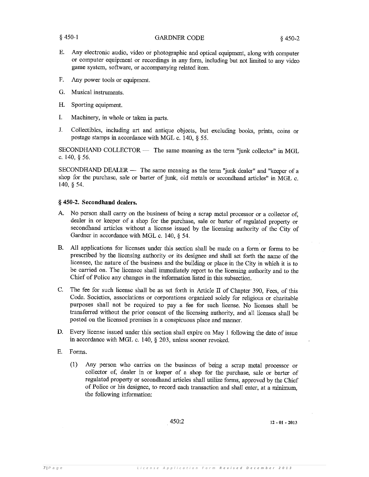- Ε. Any electronic audio, video or photographic and optical equipment, along with computer or computer equipment or recordings in any form, including but not limited to any video game system, software, or accompanying related item.
- $F.$ Any power tools or equipment.
- G. Musical instruments.
- Н. Sporting equipment.
- I. Machinery, in whole or taken in parts.
- Collectibles, including art and antique objects, but excluding books, prints, coins or J. postage stamps in accordance with MGL c. 140, § 55.

SECONDHAND COLLECTOR — The same meaning as the term "junk collector" in MGL c. 140,  $§$  56.

SECONDHAND DEALER - The same meaning as the term "junk dealer" and "keeper of a shop for the purchase, sale or barter of junk, old metals or secondhand articles" in MGL c.  $140, \S 54.$ 

# § 450-2. Secondhand dealers.

- A. No person shall carry on the business of being a scrap metal processor or a collector of. dealer in or keeper of a shop for the purchase, sale or barter of regulated property or secondhand articles without a license issued by the licensing authority of the City of Gardner in accordance with MGL c. 140, § 54.
- All applications for licenses under this section shall be made on a form or forms to be В. prescribed by the licensing authority or its designee and shall set forth the name of the licensee, the nature of the business and the building or place in the City in which it is to be carried on. The licensee shall immediately report to the licensing authority and to the Chief of Police any changes in the information listed in this subsection.
- The fee for such license shall be as set forth in Article II of Chapter 390, Fees, of this C. Code. Societies, associations or corporations organized solely for religious or charitable purposes shall not be required to pay a fee for such license. No licenses shall be transferred without the prior consent of the licensing authority, and all licenses shall be posted on the licensed premises in a conspicuous place and manner.
- D. Every license issued under this section shall expire on May 1 following the date of issue in accordance with MGL c. 140, § 203, unless sooner revoked.
- E. Forms.
	- $(1)$ Any person who carries on the business of being a scrap metal processor or collector of, dealer in or keeper of a shop for the purchase, sale or barter of regulated property or secondhand articles shall utilize forms, approved by the Chief of Police or his designee, to record each transaction and shall enter, at a minimum, the following information: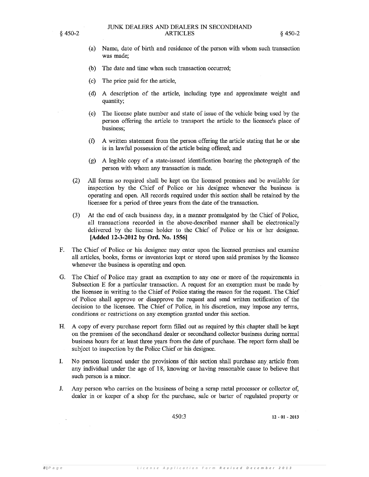- (a) Name, date of birth and residence of the person with whom such transaction was made:
- (b) The date and time when such transaction occurred;
- $\left( \text{c} \right)$ The price paid for the article,
- (d) A description of the article, including type and approximate weight and quantity;
- The license plate number and state of issue of the vehicle being used by the  $(e)$ person offering the article to transport the article to the licensee's place of business;
- $(f)$ A written statement from the person offering the article stating that he or she is in lawful possession of the article being offered; and
- $(g)$ A legible copy of a state-issued identification bearing the photograph of the person with whom any transaction is made.
- $(2)$ All forms so required shall be kept on the licensed premises and be available for inspection by the Chief of Police or his designee whenever the business is operating and open. All records required under this section shall be retained by the licensee for a period of three years from the date of the transaction.
- At the end of each business day, in a manner promulgated by the Chief of Police,  $(3)$ all transactions recorded in the above-described manner shall be electronically delivered by the license holder to the Chief of Police or his or her designee. [Added 12-3-2012 by Ord. No. 1556]
- $F_{\cdot}$ The Chief of Police or his designee may enter upon the licensed premises and examine all articles, books, forms or inventories kept or stored upon said premises by the licensee whenever the business is operating and open.
- G. The Chief of Police may grant an exemption to any one or more of the requirements in Subsection E for a particular transaction. A request for an exemption must be made by the licensee in writing to the Chief of Police stating the reason for the request. The Chief of Police shall approve or disapprove the request and send written notification of the decision to the licensee. The Chief of Police, in his discretion, may impose any terms, conditions or restrictions on any exemption granted under this section.
- A copy of every purchase report form filled out as required by this chapter shall be kept Н. on the premises of the secondhand dealer or secondhand collector business during normal business hours for at least three years from the date of purchase. The report form shall be subject to inspection by the Police Chief or his designee.
- No person licensed under the provisions of this section shall purchase any article from I. any individual under the age of 18, knowing or having reasonable cause to believe that such person is a minor.
- Any person who carries on the business of being a scrap metal processor or collector of, J. dealer in or keeper of a shop for the purchase, sale or barter of regulated property or

450:3

 $12 - 01 - 2013$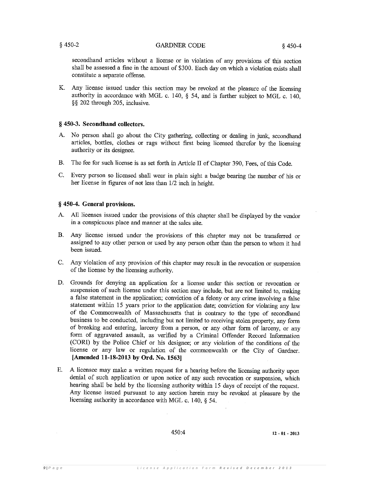secondhand articles without a license or in violation of any provisions of this section shall be assessed a fine in the amount of \$300. Each day on which a violation exists shall constitute a separate offense.

Any license issued under this section may be revoked at the pleasure of the licensing K. authority in accordance with MGL c. 140, § 54, and is further subject to MGL c. 140, §§ 202 through 205, inclusive.

# § 450-3. Secondhand collectors.

- A. No person shall go about the City gathering, collecting or dealing in junk, secondhand articles, bottles, clothes or rags without first being licensed therefor by the licensing authority or its designee.
- **B.** The fee for such license is as set forth in Article II of Chapter 390, Fees, of this Code.
- $C_{\cdot}$ Every person so licensed shall wear in plain sight a badge bearing the number of his or her license in figures of not less than 1/2 inch in height.

# § 450-4. General provisions.

- A. All licenses issued under the provisions of this chapter shall be displayed by the vendor in a conspicuous place and manner at the sales site.
- **B.** Any license issued under the provisions of this chapter may not be transferred or assigned to any other person or used by any person other than the person to whom it had been issued.
- Any violation of any provision of this chapter may result in the revocation or suspension C. of the license by the licensing authority.
- D. Grounds for denying an application for a license under this section or revocation or suspension of such license under this section may include, but are not limited to, making a false statement in the application; conviction of a felony or any crime involving a false statement within 15 years prior to the application date; conviction for violating any law of the Commonwealth of Massachusetts that is contrary to the type of secondhand business to be conducted, including but not limited to receiving stolen property, any form of breaking and entering, larceny from a person, or any other form of larceny, or any form of aggravated assault, as verified by a Criminal Offender Record Information (CORI) by the Police Chief or his designee; or any violation of the conditions of the license or any law or regulation of the commonwealth or the City of Gardner. [Amended 11-18-2013 by Ord. No. 1563]
- A licensee may make a written request for a hearing before the licensing authority upon  $E_{\rm{c}}$ denial of such application or upon notice of any such revocation or suspension, which hearing shall be held by the licensing authority within 15 days of receipt of the request. Any license issued pursuant to any section herein may be revoked at pleasure by the licensing authority in accordance with MGL c. 140, § 54.

450:4

 $12 - 01 - 2013$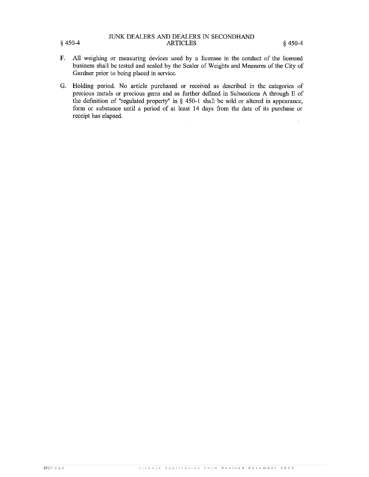# JUNK DEALERS AND DEALERS IN SECONDHAND **ARTICLES**

- $\mathbf{F}$ . All weighing or measuring devices used by a licensee in the conduct of the licensed business shall be tested and sealed by the Sealer of Weights and Measures of the City of Gardner prior to being placed in service.
- G. Holding period. No article purchased or received as described in the categories of precious metals or precious gems and as further defined in Subsections A through E of the definition of "regulated property" in  $\S$  450-1 shall be sold or altered in appearance, form or substance until a period of at least 14 days from the date of its purchase or receipt has elapsed.

 $§$  450-4